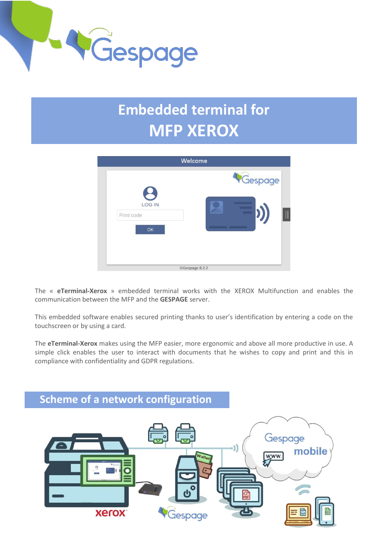

# **Embedded terminal for MFP XEROX**

|                                   | <b>Welcome</b> |  |
|-----------------------------------|----------------|--|
| <b>LOG IN</b><br>Print code<br>OK | Gespage        |  |
|                                   | CGespage 8.2.2 |  |

The « **eTerminal-Xerox** » embedded terminal works with the XEROX Multifunction and enables the communication between the MFP and the **GESPAGE** server.

This embedded software enables secured printing thanks to user's identification by entering a code on the touchscreen or by using a card.

The **eTerminal-Xerox** makes using the MFP easier, more ergonomic and above all more productive in use. A simple click enables the user to interact with documents that he wishes to copy and print and this in compliance with confidentiality and GDPR regulations.